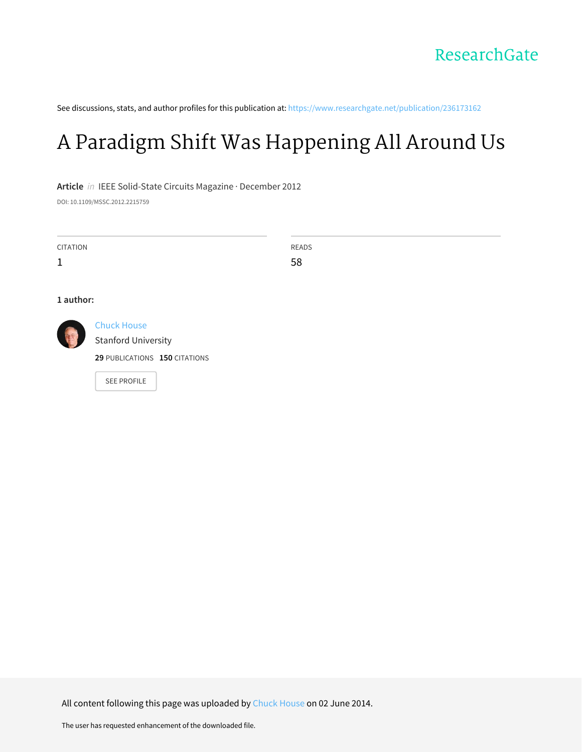See discussions, stats, and author profiles for this publication at: [https://www.researchgate.net/publication/236173162](https://www.researchgate.net/publication/236173162_A_Paradigm_Shift_Was_Happening_All_Around_Us?enrichId=rgreq-9af7428135bd06a8a2facf4037ea12fa-XXX&enrichSource=Y292ZXJQYWdlOzIzNjE3MzE2MjtBUzoxMDM2NzI5NzMzNjUyNjZAMTQwMTcyODk3MjIwNg%3D%3D&el=1_x_2&_esc=publicationCoverPdf)

## A Paradigm Shift Was [Happening](https://www.researchgate.net/publication/236173162_A_Paradigm_Shift_Was_Happening_All_Around_Us?enrichId=rgreq-9af7428135bd06a8a2facf4037ea12fa-XXX&enrichSource=Y292ZXJQYWdlOzIzNjE3MzE2MjtBUzoxMDM2NzI5NzMzNjUyNjZAMTQwMTcyODk3MjIwNg%3D%3D&el=1_x_3&_esc=publicationCoverPdf) All Around Us

**Article** in IEEE Solid-State Circuits Magazine · December 2012

DOI: 10.1109/MSSC.2012.2215759

| <b>CITATION</b>    | READS |
|--------------------|-------|
| $\mathbf{1}$       | 58    |
|                    |       |
| 1 author:          |       |
| <b>Chuck House</b> |       |

EST.

**29** PUBLICATIONS **150** CITATIONS

SEE [PROFILE](https://www.researchgate.net/profile/Chuck_House?enrichId=rgreq-9af7428135bd06a8a2facf4037ea12fa-XXX&enrichSource=Y292ZXJQYWdlOzIzNjE3MzE2MjtBUzoxMDM2NzI5NzMzNjUyNjZAMTQwMTcyODk3MjIwNg%3D%3D&el=1_x_7&_esc=publicationCoverPdf)

Stanford [University](https://www.researchgate.net/institution/Stanford_University?enrichId=rgreq-9af7428135bd06a8a2facf4037ea12fa-XXX&enrichSource=Y292ZXJQYWdlOzIzNjE3MzE2MjtBUzoxMDM2NzI5NzMzNjUyNjZAMTQwMTcyODk3MjIwNg%3D%3D&el=1_x_6&_esc=publicationCoverPdf)

All content following this page was uploaded by Chuck [House](https://www.researchgate.net/profile/Chuck_House?enrichId=rgreq-9af7428135bd06a8a2facf4037ea12fa-XXX&enrichSource=Y292ZXJQYWdlOzIzNjE3MzE2MjtBUzoxMDM2NzI5NzMzNjUyNjZAMTQwMTcyODk3MjIwNg%3D%3D&el=1_x_10&_esc=publicationCoverPdf) on 02 June 2014.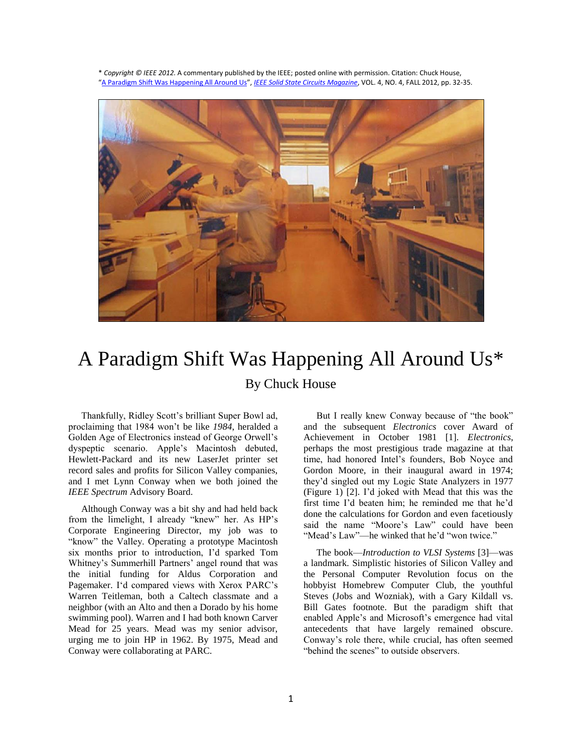\* *Copyright © IEEE 2012.* A commentary published by the IEEE; posted online with permission. Citation: Chuck House, "[A Paradigm Shift Was Happening All Around Us](http://ai.eecs.umich.edu/people/conway/Memoirs/VLSI/Commentaries/A_Paradigm_Shift_Was_Happening_by_Chuck_House.pdf)", *[IEEE Solid State Circuits Magazine](http://ieeexplore.ieee.org/xpl/RecentIssue.jsp?punumber=4563670)*, VOL. 4, NO. 4, FALL 2012, pp. 32-35.



## A Paradigm Shift Was Happening All Around Us\* By Chuck House

Thankfully, Ridley Scott's brilliant Super Bowl ad, proclaiming that 1984 won't be like *1984*, heralded a Golden Age of Electronics instead of George Orwell's dyspeptic scenario. Apple's Macintosh debuted, Hewlett-Packard and its new LaserJet printer set record sales and profits for Silicon Valley companies, and I met Lynn Conway when we both joined the *IEEE Spectrum* Advisory Board.

Although Conway was a bit shy and had held back from the limelight, I already "knew" her. As HP's Corporate Engineering Director, my job was to "know" the Valley. Operating a prototype Macintosh six months prior to introduction, I'd sparked Tom Whitney's Summerhill Partners' angel round that was the initial funding for Aldus Corporation and Pagemaker. I'd compared views with Xerox PARC's Warren Teitleman, both a Caltech classmate and a neighbor (with an Alto and then a Dorado by his home swimming pool). Warren and I had both known Carver Mead for 25 years. Mead was my senior advisor, urging me to join HP in 1962. By 1975, Mead and Conway were collaborating at PARC.

But I really knew Conway because of "the book" and the subsequent *Electronics* cover Award of Achievement in October 1981 [1]. *Electronics*, perhaps the most prestigious trade magazine at that time, had honored Intel's founders, Bob Noyce and Gordon Moore, in their inaugural award in 1974; they'd singled out my Logic State Analyzers in 1977 (Figure 1) [2]. I'd joked with Mead that this was the first time I'd beaten him; he reminded me that he'd done the calculations for Gordon and even facetiously said the name "Moore's Law" could have been "Mead's Law"—he winked that he'd "won twice."

The book—*Introduction to VLSI Systems* [3]—was a landmark. Simplistic histories of Silicon Valley and the Personal Computer Revolution focus on the hobbyist Homebrew Computer Club, the youthful Steves (Jobs and Wozniak), with a Gary Kildall vs. Bill Gates footnote. But the paradigm shift that enabled Apple's and Microsoft's emergence had vital antecedents that have largely remained obscure. Conway's role there, while crucial, has often seemed "behind the scenes" to outside observers.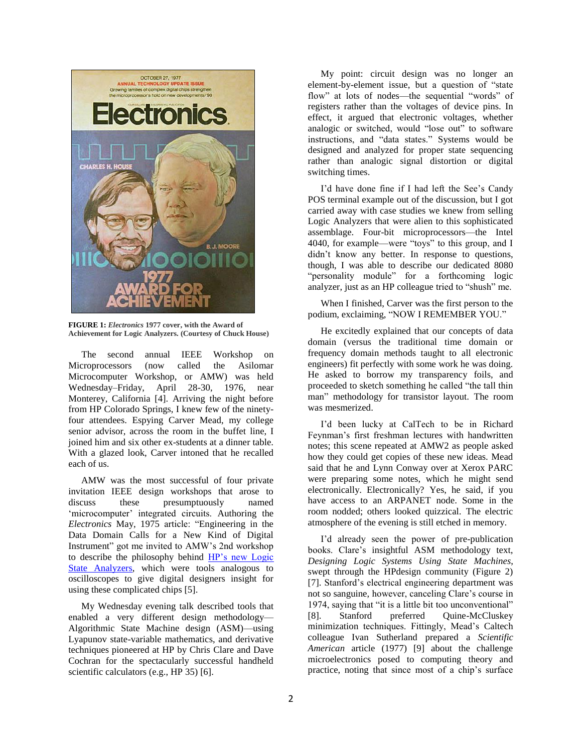

**FIGURE 1:** *Electronics* **1977 cover, with the Award of Achievement for Logic Analyzers. (Courtesy of Chuck House)**

The second annual IEEE Workshop on Microprocessors (now called the Asilomar Microcomputer Workshop, or AMW) was held Wednesday–Friday, April 28-30, 1976, near Monterey, California [4]. Arriving the night before from HP Colorado Springs, I knew few of the ninetyfour attendees. Espying Carver Mead, my college senior advisor, across the room in the buffet line, I joined him and six other ex-students at a dinner table. With a glazed look, Carver intoned that he recalled each of us.

AMW was the most successful of four private invitation IEEE design workshops that arose to discuss these presumptuously named 'microcomputer' integrated circuits. Authoring the *Electronics* May, 1975 article: "Engineering in the Data Domain Calls for a New Kind of Digital Instrument" got me invited to AMW's 2nd workshop to describe the philosophy behind [HP's new Logic](http://www.hpmemory.org/timeline/chuck_house/lsa_birth_03.htm#part1)  [State Analyzers,](http://www.hpmemory.org/timeline/chuck_house/lsa_birth_03.htm#part1) which were tools analogous to oscilloscopes to give digital designers insight for using these complicated chips [5].

My Wednesday evening talk described tools that enabled a very different design methodology— Algorithmic State Machine design (ASM)—using Lyapunov state-variable mathematics, and derivative techniques pioneered at HP by Chris Clare and Dave Cochran for the spectacularly successful handheld scientific calculators (e.g., HP 35) [6].

My point: circuit design was no longer an element-by-element issue, but a question of "state flow" at lots of nodes—the sequential "words" of registers rather than the voltages of device pins. In effect, it argued that electronic voltages, whether analogic or switched, would "lose out" to software instructions, and "data states." Systems would be designed and analyzed for proper state sequencing rather than analogic signal distortion or digital switching times.

I'd have done fine if I had left the See's Candy POS terminal example out of the discussion, but I got carried away with case studies we knew from selling Logic Analyzers that were alien to this sophisticated assemblage. Four-bit microprocessors—the Intel 4040, for example—were "toys" to this group, and I didn't know any better. In response to questions, though, I was able to describe our dedicated 8080 "personality module" for a forthcoming logic analyzer, just as an HP colleague tried to "shush" me.

When I finished, Carver was the first person to the podium, exclaiming, "NOW I REMEMBER YOU."

He excitedly explained that our concepts of data domain (versus the traditional time domain or frequency domain methods taught to all electronic engineers) fit perfectly with some work he was doing. He asked to borrow my transparency foils, and proceeded to sketch something he called "the tall thin man" methodology for transistor layout. The room was mesmerized.

I'd been lucky at CalTech to be in Richard Feynman's first freshman lectures with handwritten notes; this scene repeated at AMW2 as people asked how they could get copies of these new ideas. Mead said that he and Lynn Conway over at Xerox PARC were preparing some notes, which he might send electronically. Electronically? Yes, he said, if you have access to an ARPANET node. Some in the room nodded; others looked quizzical. The electric atmosphere of the evening is still etched in memory.

I'd already seen the power of pre-publication books. Clare's insightful ASM methodology text, *Designing Logic Systems Using State Machines*, swept through the HPdesign community (Figure 2) [7]. Stanford's electrical engineering department was not so sanguine, however, canceling Clare's course in 1974, saying that "it is a little bit too unconventional" [8]. Stanford preferred Quine-McCluskey minimization techniques. Fittingly, Mead's Caltech colleague Ivan Sutherland prepared a *Scientific American* article (1977) [9] about the challenge microelectronics posed to computing theory and practice, noting that since most of a chip's surface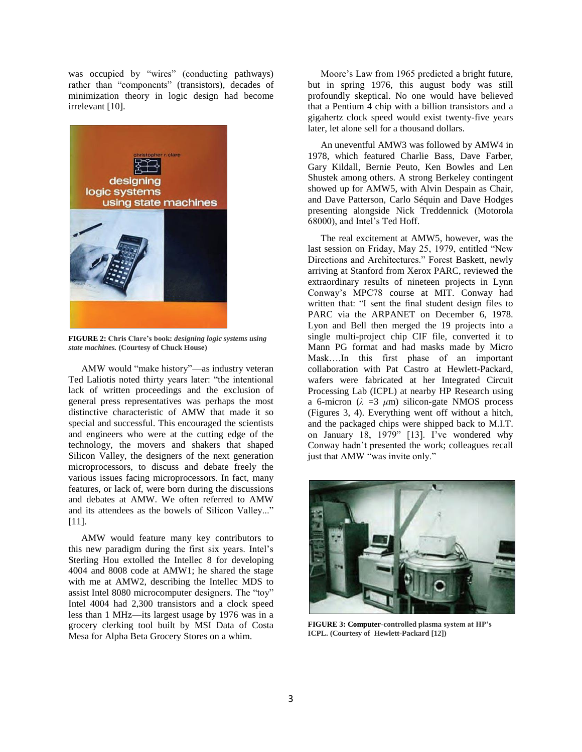was occupied by "wires" (conducting pathways) rather than "components" (transistors), decades of minimization theory in logic design had become irrelevant [10].



**FIGURE 2: Chris Clare's book:** *designing logic systems using state machines.* **(Courtesy of Chuck House)**

AMW would "make history"—as industry veteran Ted Laliotis noted thirty years later: "the intentional lack of written proceedings and the exclusion of general press representatives was perhaps the most distinctive characteristic of AMW that made it so special and successful. This encouraged the scientists and engineers who were at the cutting edge of the technology, the movers and shakers that shaped Silicon Valley, the designers of the next generation microprocessors, to discuss and debate freely the various issues facing microprocessors. In fact, many features, or lack of, were born during the discussions and debates at AMW. We often referred to AMW and its attendees as the bowels of Silicon Valley..." [11].

AMW would feature many key contributors to this new paradigm during the first six years. Intel's Sterling Hou extolled the Intellec 8 for developing 4004 and 8008 code at AMW1; he shared the stage with me at AMW2, describing the Intellec MDS to assist Intel 8080 microcomputer designers. The "toy" Intel 4004 had 2,300 transistors and a clock speed less than 1 MHz—its largest usage by 1976 was in a grocery clerking tool built by MSI Data of Costa Mesa for Alpha Beta Grocery Stores on a whim.

Moore's Law from 1965 predicted a bright future, but in spring 1976, this august body was still profoundly skeptical. No one would have believed that a Pentium 4 chip with a billion transistors and a gigahertz clock speed would exist twenty-five years later, let alone sell for a thousand dollars.

An uneventful AMW3 was followed by AMW4 in 1978, which featured Charlie Bass, Dave Farber, Gary Kildall, Bernie Peuto, Ken Bowles and Len Shustek among others. A strong Berkeley contingent showed up for AMW5, with Alvin Despain as Chair, and Dave Patterson, Carlo Séquin and Dave Hodges presenting alongside Nick Treddennick (Motorola 68000), and Intel's Ted Hoff.

The real excitement at AMW5, however, was the last session on Friday, May 25, 1979, entitled "New Directions and Architectures." Forest Baskett, newly arriving at Stanford from Xerox PARC, reviewed the extraordinary results of nineteen projects in Lynn Conway's MPC78 course at MIT. Conway had written that: "I sent the final student design files to PARC via the ARPANET on December 6, 1978. Lyon and Bell then merged the 19 projects into a single multi-project chip CIF file, converted it to Mann PG format and had masks made by Micro Mask….In this first phase of an important collaboration with Pat Castro at Hewlett-Packard, wafers were fabricated at her Integrated Circuit Processing Lab (ICPL) at nearby HP Research using a 6-micron (*λ* =3 *μ*m) silicon-gate NMOS process (Figures 3, 4). Everything went off without a hitch, and the packaged chips were shipped back to M.I.T. on January 18, 1979" [13]. I've wondered why Conway hadn't presented the work; colleagues recall just that AMW "was invite only."



**FIGURE 3: Computer-controlled plasma system at HP's ICPL. (Courtesy of Hewlett-Packard [12])**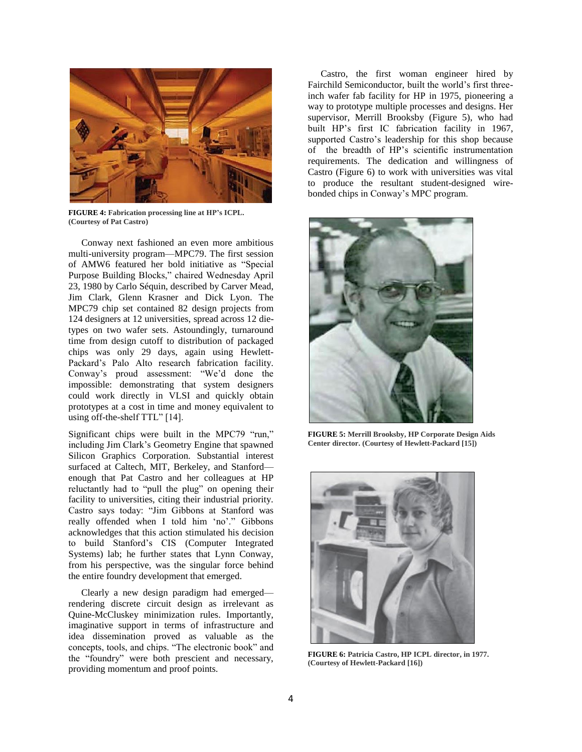

**FIGURE 4: Fabrication processing line at HP's ICPL. (Courtesy of Pat Castro)**

Conway next fashioned an even more ambitious multi-university program—MPC79. The first session of AMW6 featured her bold initiative as "Special Purpose Building Blocks," chaired Wednesday April 23, 1980 by Carlo Séquin, described by Carver Mead, Jim Clark, Glenn Krasner and Dick Lyon. The MPC79 chip set contained 82 design projects from 124 designers at 12 universities, spread across 12 dietypes on two wafer sets. Astoundingly, turnaround time from design cutoff to distribution of packaged chips was only 29 days, again using Hewlett-Packard's Palo Alto research fabrication facility. Conway's proud assessment: "We'd done the impossible: demonstrating that system designers could work directly in VLSI and quickly obtain prototypes at a cost in time and money equivalent to using off-the-shelf TTL" [14].

Significant chips were built in the MPC79 "run," including Jim Clark's Geometry Engine that spawned Silicon Graphics Corporation. Substantial interest surfaced at Caltech, MIT, Berkeley, and Stanford enough that Pat Castro and her colleagues at HP reluctantly had to "pull the plug" on opening their facility to universities, citing their industrial priority. Castro says today: "Jim Gibbons at Stanford was really offended when I told him 'no'." Gibbons acknowledges that this action stimulated his decision to build Stanford's CIS (Computer Integrated Systems) lab; he further states that Lynn Conway, from his perspective, was the singular force behind the entire foundry development that emerged.

Clearly a new design paradigm had emerged rendering discrete circuit design as irrelevant as Quine-McCluskey minimization rules. Importantly, imaginative support in terms of infrastructure and idea dissemination proved as valuable as the concepts, tools, and chips. "The electronic book" and the "foundry" were both prescient and necessary, providing momentum and proof points.

Castro, the first woman engineer hired by Fairchild Semiconductor, built the world's first threeinch wafer fab facility for HP in 1975, pioneering a way to prototype multiple processes and designs. Her supervisor, Merrill Brooksby (Figure 5), who had built HP's first IC fabrication facility in 1967, supported Castro's leadership for this shop because of the breadth of HP's scientific instrumentation requirements. The dedication and willingness of Castro (Figure 6) to work with universities was vital to produce the resultant student-designed wirebonded chips in Conway's MPC program.



**FIGURE 5: Merrill Brooksby, HP Corporate Design Aids Center director. (Courtesy of Hewlett-Packard [15])**



**FIGURE 6: Patricia Castro, HP ICPL director, in 1977. (Courtesy of Hewlett-Packard [16])**